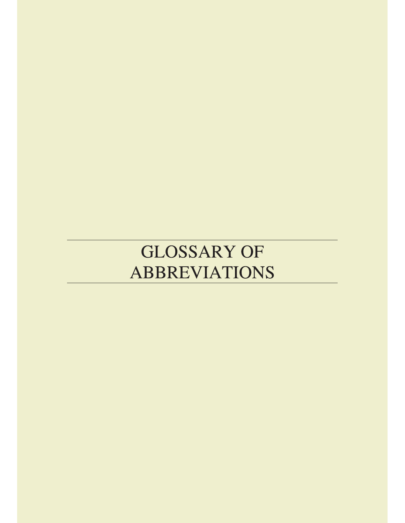## **GLOSSARY OF ABBREVIATIONS**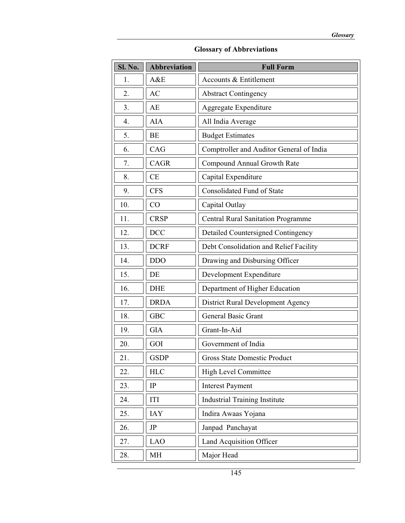| <b>Sl. No.</b> | <b>Abbreviation</b> | <b>Full Form</b>                          |
|----------------|---------------------|-------------------------------------------|
| 1.             | A&E                 | Accounts & Entitlement                    |
| 2.             | AC                  | <b>Abstract Contingency</b>               |
| 3.             | AE                  | Aggregate Expenditure                     |
| 4.             | <b>AIA</b>          | All India Average                         |
| 5.             | BE                  | <b>Budget Estimates</b>                   |
| 6.             | CAG                 | Comptroller and Auditor General of India  |
| 7.             | <b>CAGR</b>         | Compound Annual Growth Rate               |
| 8.             | CE                  | Capital Expenditure                       |
| 9.             | <b>CFS</b>          | <b>Consolidated Fund of State</b>         |
| 10.            | CO                  | Capital Outlay                            |
| 11.            | <b>CRSP</b>         | <b>Central Rural Sanitation Programme</b> |
| 12.            | <b>DCC</b>          | <b>Detailed Countersigned Contingency</b> |
| 13.            | <b>DCRF</b>         | Debt Consolidation and Relief Facility    |
| 14.            | <b>DDO</b>          | Drawing and Disbursing Officer            |
| 15.            | DE                  | Development Expenditure                   |
| 16.            | <b>DHE</b>          | Department of Higher Education            |
| 17.            | <b>DRDA</b>         | District Rural Development Agency         |
| 18.            | <b>GBC</b>          | <b>General Basic Grant</b>                |
| 19.            | <b>GIA</b>          | Grant-In-Aid                              |
| 20.            | GOI                 | Government of India                       |
| 21.            | <b>GSDP</b>         | <b>Gross State Domestic Product</b>       |
| 22.            | <b>HLC</b>          | High Level Committee                      |
| 23.            | IP                  | <b>Interest Payment</b>                   |
| 24.            | ITI                 | <b>Industrial Training Institute</b>      |
| 25.            | <b>IAY</b>          | Indira Awaas Yojana                       |
| 26.            | JP                  | Janpad Panchayat                          |
| 27.            | <b>LAO</b>          | Land Acquisition Officer                  |
| 28.            | MH                  | Major Head                                |

## **Glossary of Abbreviations**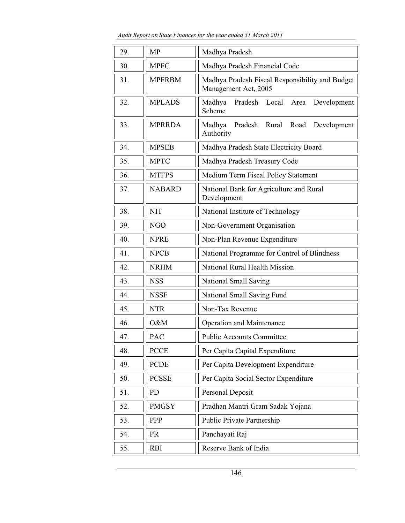*Audit Report on State Finances for the year ended 31 March 2011* 

| 29. | <b>MP</b>     | Madhya Pradesh                                                          |
|-----|---------------|-------------------------------------------------------------------------|
| 30. | <b>MPFC</b>   | Madhya Pradesh Financial Code                                           |
| 31. | <b>MPFRBM</b> | Madhya Pradesh Fiscal Responsibility and Budget<br>Management Act, 2005 |
| 32. | <b>MPLADS</b> | Madhya<br>Pradesh Local Area<br>Development<br>Scheme                   |
| 33. | <b>MPRRDA</b> | Madhya<br>Pradesh<br>Rural Road<br>Development<br>Authority             |
| 34. | <b>MPSEB</b>  | Madhya Pradesh State Electricity Board                                  |
| 35. | <b>MPTC</b>   | Madhya Pradesh Treasury Code                                            |
| 36. | <b>MTFPS</b>  | Medium Term Fiscal Policy Statement                                     |
| 37. | <b>NABARD</b> | National Bank for Agriculture and Rural<br>Development                  |
| 38. | <b>NIT</b>    | National Institute of Technology                                        |
| 39. | NGO           | Non-Government Organisation                                             |
| 40. | <b>NPRE</b>   | Non-Plan Revenue Expenditure                                            |
| 41. | <b>NPCB</b>   | National Programme for Control of Blindness                             |
| 42. | <b>NRHM</b>   | National Rural Health Mission                                           |
| 43. | <b>NSS</b>    | National Small Saving                                                   |
| 44. | <b>NSSF</b>   | National Small Saving Fund                                              |
| 45. | <b>NTR</b>    | Non-Tax Revenue                                                         |
| 46. | O&M           | Operation and Maintenance                                               |
| 47. | PAC           | <b>Public Accounts Committee</b>                                        |
| 48. | <b>PCCE</b>   | Per Capita Capital Expenditure                                          |
| 49. | <b>PCDE</b>   | Per Capita Development Expenditure                                      |
| 50. | <b>PCSSE</b>  | Per Capita Social Sector Expenditure                                    |
| 51. | PD            | Personal Deposit                                                        |
| 52. | <b>PMGSY</b>  | Pradhan Mantri Gram Sadak Yojana                                        |
| 53. | PPP           | Public Private Partnership                                              |
| 54. | <b>PR</b>     | Panchayati Raj                                                          |
| 55. | <b>RBI</b>    | Reserve Bank of India                                                   |